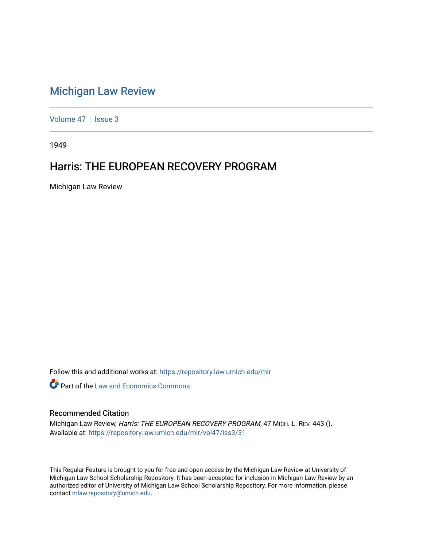## [Michigan Law Review](https://repository.law.umich.edu/mlr)

[Volume 47](https://repository.law.umich.edu/mlr/vol47) | [Issue 3](https://repository.law.umich.edu/mlr/vol47/iss3)

1949

## Harris: THE EUROPEAN RECOVERY PROGRAM

Michigan Law Review

Follow this and additional works at: [https://repository.law.umich.edu/mlr](https://repository.law.umich.edu/mlr?utm_source=repository.law.umich.edu%2Fmlr%2Fvol47%2Fiss3%2F31&utm_medium=PDF&utm_campaign=PDFCoverPages) 

**C** Part of the Law and Economics Commons

## Recommended Citation

Michigan Law Review, Harris: THE EUROPEAN RECOVERY PROGRAM, 47 MICH. L. REV. 443 (). Available at: [https://repository.law.umich.edu/mlr/vol47/iss3/31](https://repository.law.umich.edu/mlr/vol47/iss3/31?utm_source=repository.law.umich.edu%2Fmlr%2Fvol47%2Fiss3%2F31&utm_medium=PDF&utm_campaign=PDFCoverPages) 

This Regular Feature is brought to you for free and open access by the Michigan Law Review at University of Michigan Law School Scholarship Repository. It has been accepted for inclusion in Michigan Law Review by an authorized editor of University of Michigan Law School Scholarship Repository. For more information, please contact [mlaw.repository@umich.edu](mailto:mlaw.repository@umich.edu).